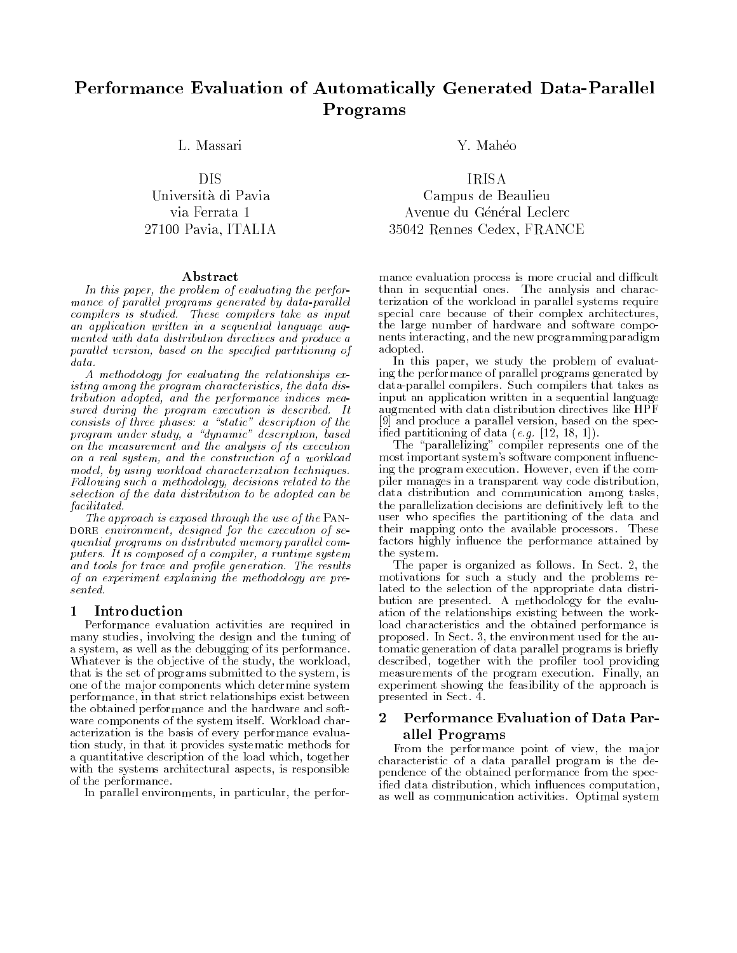# Performance Evaluation of Automatically Generated Data-Parallel Programs

Università di Pavia

### Abstract

In this paper, the problem of evaluating the perfor mance of parallel programs generated by data-parallel compilers is studied. These compilers take as input an application written in a sequential language augmented with data distribution directives and produce a parallel version, based on the specified partitioning of data.

A methodology for evaluating the relationships existing among the program characteristics, the data distribution adopted, and the performance indices measured during the program execution is described. It consists of three phases: a "static" description of the program under study, a "dynamic" description, based on the measurement and the analysis of its execution on a real system, and the construction of a workload model, by using workload characterization techniques. Following such a methodology, decisions related to the selection of the data distribution to be adopted can be facilitated.

The approach is exposed through the use of the PAN-DORE environment, designed for the execution of  $se$ quential programs on distributed memory parallel computers. It is composed of a compiler, a runtime system and tools for trace and profile generation. The results of an experiment explaining the methodology are presented.

#### Introduction П. -

Performance evaluation activities are required in many studies, involving the design and the tuning of a system, as well as the debugging of its performance. Whatever is the objective of the study, the workload, that is the set of programs submitted to the system, is one of the major components which determine system performance, in that strict relationships exist between the obtained performance and the hardware and soft ware components of the system itself. Workload characterization is the basis of every performance evaluation study, in that it provides systematic methods for a quantitative description of the load which, together with the systems architectural aspects, is responsible of the performance.

In parallel environments, in particular, the perfor-

Campus de Beaulieu via Ferrata 1 Avenue du Général Leclerc 27100 Pavia, ITALIA 35042 Rennes Cedex, FRANCE

> mance evaluation process is more crucial and difficult than in sequential ones. The analysis and characterization of the workload in parallel systems require special care because of their complex architectures, the large number of hardware and software compo nents interacting, and the new programming paradigm adopted.

> In this paper, we study the problem of evaluating the performance of parallel programs generated by data-parallel compilers. Such compilers that takes as input an application written in a sequential language augmented with data distribution directives like HPF [9] and produce a parallel version, based on the specified partitioning of data  $(e.g. [12, 18, 1]).$

> The "parallelizing" compiler represents one of the most important system's software component influencing the program execution. However, even if the compiler manages in a transparent way code distribution, data distribution and communication among tasks, the parallelization decisions are denitively left to the user who specifies the partitioning of the data and their mapping onto the available processors. These factors highly influence the performance attained by the system. the system is a system of the system of the system of the system of the system of the system of the system of

> The paper is organized as follows. In Sect. 2, the motivations for such a study and the problems related to the selection of the appropriate data distribution are presented. A methodology for the evaluation of the relationships existing between the workload characteristics and the obtained performance is proposed. In Sect. 3, the environment used for the automatic generation of data parallel programs is briefly described, together with the profiler tool providing measurements of the program execution. Finally, an experiment showing the feasibility of the approach is presented in Sect. 4.

### 2 Performance Evaluation of Data Parallel Programs

From the performance point of view, the major characteristic of a data parallel program is the dependence of the obtained performance from the specified data distribution, which influences computation, as well as communication activities. Optimal system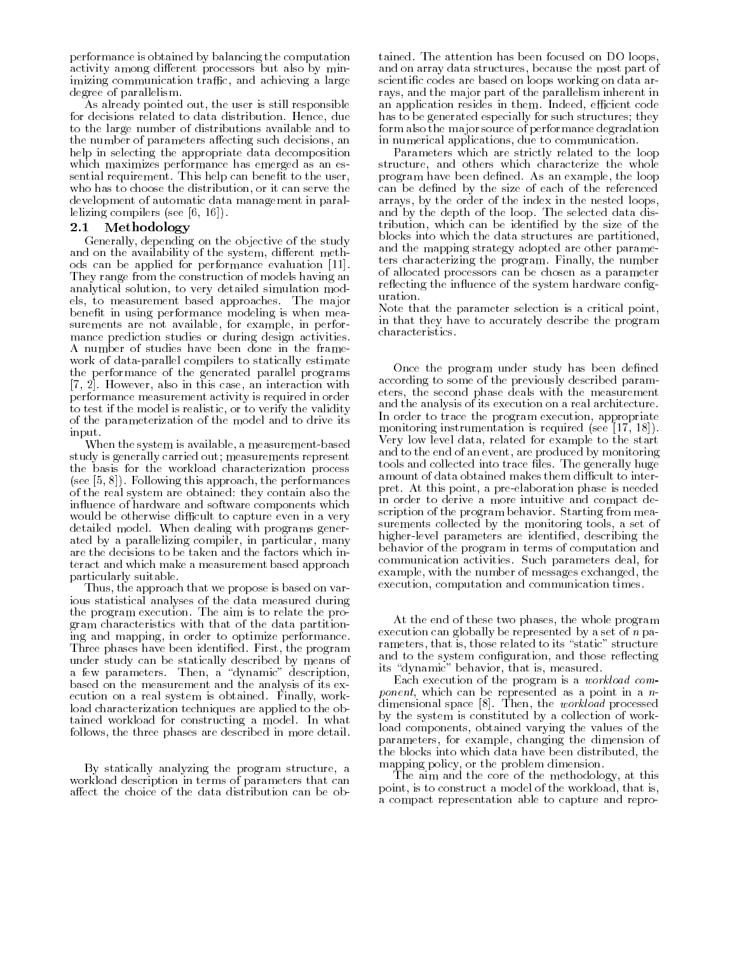performance is obtained by balancing the computation activity among different processors but also by minimizing communication traffic, and achieving a large degree of parallelism.

As already pointed out, the user is still responsible for decisions related to data distribution. Hence, due to the large number of distributions available and to the number of parameters affecting such decisions, an help in selecting the appropriate data decomposition which maximizes performance has emerged as an essential requirement. This help can benefit to the user, who has to choose the distribution, or it can serve the development of automatic data management in parallelizing compilers (see [6, 16]).

#### Methodology 2.1

Generally, depending on the objective of the study and on the availability of the system, different methods can be applied for performance evaluation [11]. They range from the construction of models having an analytical solution, to very detailed simulation models, to measurement based approaches. The major benefit in using performance modeling is when measurements are not available, for example, in performance prediction studies or during design activities. A number of studies have been done in the frame work of data-parallel compilers to statically estimate the performance of the generated parallel programs [7, 2]. However, also in this case, an interaction with performance measurement activity is required in order to test if the model is realistic, or to verify the validity of the parameterization of the model and to drive its input.

When the system is available, a measurement-based study is generally carried out; measurements represent the basis for the workload characterization process (see [5, 8]). Following this approach, the performances of the real system are obtained: they contain also the in
uence of hardware and software components which would be otherwise difficult to capture even in a very detailed model. When dealing with programs generated by a parallelizing compiler, in particular, many are the decisions to be taken and the factors which interact and which make a measurement based approach particularly suitable.

Thus, the approach that we propose is based on various statistical analyses of the data measured during the program execution. The aim is to relate the program characteristics with that of the data partitioning and mapping, in order to optimize performance. Three phases have been identied. First, the program under study can be statically described by means of the statically described by means of the statically described by means of the statically described by means of the statically described by means of the statically describ a few parameters. The few parameters is a state of the state of the state of the state of the state of the sta based on the measurement and the analysis of its execution on a real system is obtained. Finally, workload characterization techniques are applied to the obtained workload for constructing a model. In what follows, the three phases are described in more detail.

By statically analyzing the program structure, a workload description in terms of parameters that can affect the choice of the data distribution can be obtained. The attention has been focused on DO loops, and on array data structures, because the most part of scientic codes are based on loops working on data arrays, and the major part of the parallelism inherent in an application resides in them. Indeed, efficient code has to be generated especially for such structures; they form also the major source of performance degradation in numerical applications, due to communication.

Parameters which are strictly related to the loop structure, and others which characterize the whole program have been defined. As an example, the loop can be defined by the size of each of the referenced arrays, by the order of the index in the nested loops, and by the depth of the loop. The selected data distribution, which can be identied by the size of the blocks into which the data structures are partitioned, and the mapping strategy adopted are other parameters characterizing the program. Finally, the number of allocated processors can be chosen as a parameter reflecting the influence of the system hardware configuration.

Note that the parameter selection is a critical point, in that they have to accurately describe the program characteristics.

Once the program under study has been defined according to some of the previously described parameters, the second phase deals with the measurement and the analysis of its execution on a real architecture. In order to trace the program execution, appropriate monitoring instrumentation is required (see [17, 18]). Very low level data, related for example to the start and to the end of an event, are produced by monitoring tools and collected into trace files. The generally huge amount of data obtained makes them difficult to interpret. At this point, a pre-elaboration phase is needed in order to derive a more intuitive and compact description of the program behavior. Starting from measurements collected by the monitoring tools, a set of higher-level parameters are identified, describing the behavior of the program in terms of computation and communication activities. Such parameters deal, for example, with the number of messages exchanged, the execution, computation and communication times.

At the end of these two phases, the whole program execution can globally be represented by a set of  $n$  parameters, that is, those related to its "static" structure and to the system configuration, and those reflecting its "dynamic" behavior, that is, measured.

Each execution of the program is a workload com ponent, which can be represented as a point in a n dimensional space [8]. Then, the workload processed by the system is constituted by a collection of workload components, obtained varying the values of the parameters, for example, changing the dimension of the blocks into which data have been distributed, the mapping policy, or the problem dimension.

The aim and the core of the methodology, at this point, is to construct a model of the workload, that is, a compact representation able to capture and repro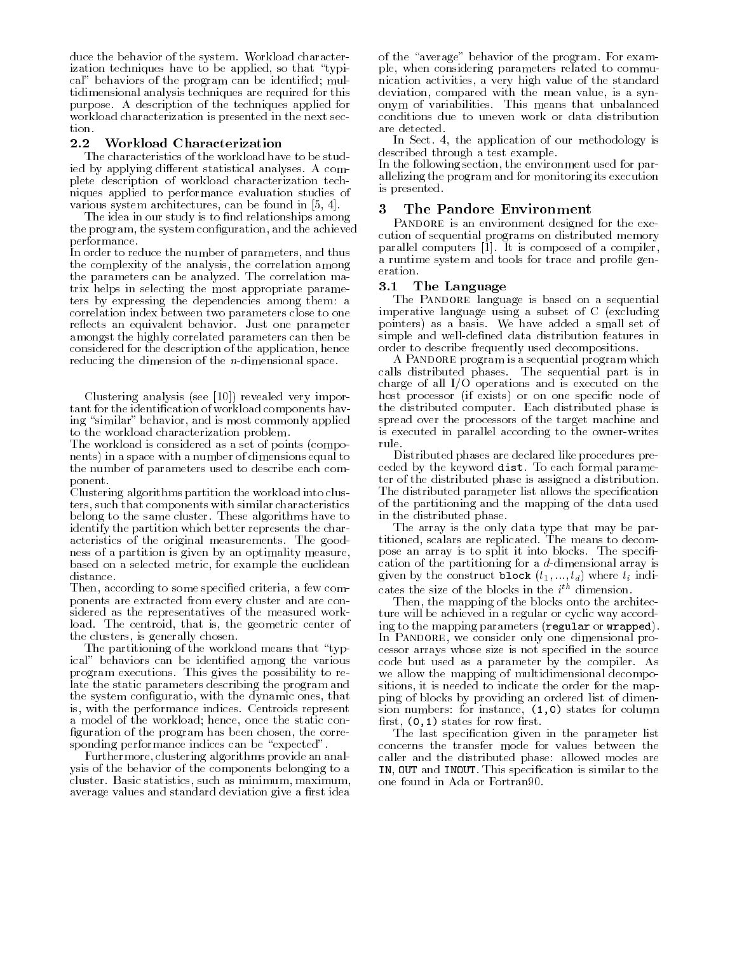duce the behavior of the system. Workload characterization techniques have to be applied, so that "typical" behaviors of the program can be identified; multidimensional analysis techniques are required for this purpose. A description of the techniques applied for workload characterization is presented in the next section.

#### $2.2$ Workload Characterization

The characteristics of the workload have to be studied by applying different statistical analyses. A complete description of workload characterization techniques applied to performance evaluation studies of various system architectures, can be found in [5, 4].

The idea in our study is to find relationships among the program, the system configuration, and the achieved performance.

In order to reduce the number of parameters, and thus the complexity of the analysis, the correlation among the parameters can be analyzed. The correlation matrix helps in selecting the most appropriate parameters by expressing the dependencies among them: a correlation index between two parameters close to one reflects an equivalent behavior. Just one parameter amongst the highly correlated parameters can then be considered for the description of the application, hence reducing the dimension of the n-dimensional space.

Clustering analysis (see [10]) revealed very important for the identication of workload components having "similar" behavior, and is most commonly applied to the workload characterization problem.

The workload is considered as a set of points (compo nents) in a space with a number of dimensions equal to the number of parameters used to describe each component.

Clustering algorithms partition the workload into clusters, such that components with similar characteristics belong to the same cluster. These algorithms have to identify the partition which better represents the characteristics of the original measurements. The goodness of a partition is given by an optimality measure, based on a selected metric, for example the euclidean

Then, according to some specified criteria, a few components are extracted from every cluster and are considered as the representatives of the measured workload. The centroid, that is, the geometric center of the clusters, is generally chosen.

The partitioning of the workload means that "typical" behaviors can be identified among the various program executions. This gives the possibility to relate the static parameters describing the program and the system conguratio, with the dynamic ones, that is, with the performance indices. Centroids represent a model of the workload; hence, once the static con figuration of the program has been chosen, the corresponding performance indices can be "expected".

Furthermore, clustering algorithms provide an analysis of the behavior of the components belonging to a cluster. Basic statistics, such as minimum, maximum, average values and standard deviation give a first idea of the "average" behavior of the program. For example, when considering parameters related to commu nication activities, a very high value of the standard deviation, compared with the mean value, is a syn onym of variabilities. This means that unbalanced conditions due to uneven work or data distribution are detected.

In Sect. 4, the application of our methodology is described through a test example.

In the following section, the environment used for parallelizing the program and for monitoring its execution is presented.

#### 3 The Pandore Environment  $\sim$

PANDORE is an environment designed for the execution of sequential programs on distributed memory parallel computers [1]. It is composed of a compiler, a runtime system and tools for trace and profile generation.

#### $3.1$ The Language

The PANDORE language is based on a sequential imperative language using a subset of C (excluding pointers) as a basis. We have added a small set of simple and well-defined data distribution features in order to describe frequently used decompositions.

A Pandore program is a sequential program which calls distributed phases. The sequential part is in charge of all I/O operations and is executed on the host processor (if exists) or on one specific node of the distributed computer. Each distributed phase is spread over the processors of the target machine and is executed in parallel according to the owner-writes rule.

Distributed phases are declared like procedures preceded by the keyword dist. To each formal parameter of the distributed phase is assigned a distribution. The distributed parameter list allows the specification of the partitioning and the mapping of the data used in the distributed phase.

The array is the only data type that may be partitioned, scalars are replicated. The means to decompose an array is to split it into blocks. The specification of the partitioning for a d-dimensional array is given by the construct **block**  $(t_1, ..., t_d)$  where  $t_i$  indicates the size of the blocks in the  $i^{\text{th}}$  dimension.

Then, the mapping of the blocks onto the architecture will be achieved in a regular or cyclic way according to the mapping parameters (regular or wrapped). In PANDORE, we consider only one dimensional processor arrays whose size is not specied in the source code but used as a parameter by the compiler. As we allow the mapping of multidimensional decompositions, it is needed to indicate the order for the mapping of blocks by providing an ordered list of dimension numbers: for instance,  $(1,0)$  states for column first,  $(0, 1)$  states for row first.

The last specication given in the parameter list concerns the transfer mode for values between the caller and the distributed phase: allowed modes are IN, OUT and INOUT. This specification is similar to the one found in Ada or Fortran90.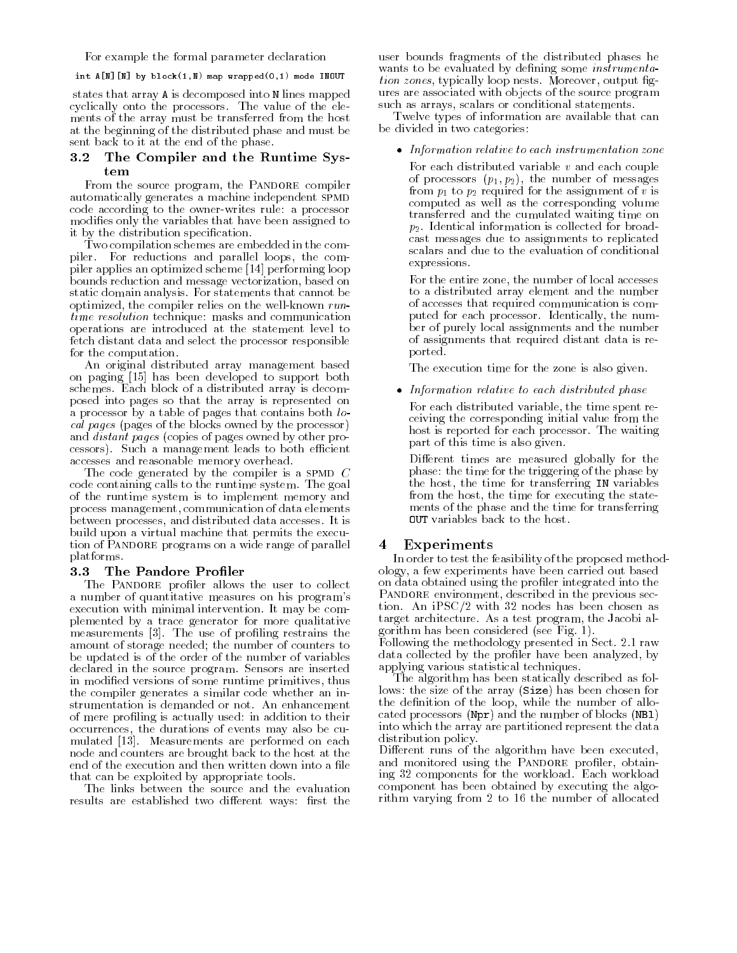For example the formal parameter declaration

int  $A[\![\mathbb{N}]\!]$  [N] by block $(1,\mathbb{N})$  map wrapped $(0,1)$  mode INOUT

states that array A is decomposed into N lines mapped cyclically onto the processors. The value of the ele ments of the array must be transferred from the host at the beginning of the distributed phase and must be sent back to it at the end of the phase.

## 3.2 The Compiler and the Runtime System

From the source program, the PANDORE compiler automatically generates a machine independent SPMD code according to the owner-writes rule: a processor modies only the variables that have been assigned to it by the distribution specification.

Two compilation schemes are embedded in the compiler. For reductions and parallel loops, the compiler applies an optimized scheme [14] performing loop bounds reduction and message vectorization, based on static domain analysis. For statements that cannot be optimized, the compiler relies on the well-known runtime resolution technique: masks and communication operations are introduced at the statement level to fetch distant data and select the processor responsible for the computation.

An original distributed array management based on paging [15] has been developed to support both schemes. Each block of a distributed array is decomposed into pages so that the array is represented on a processor by a table of pages that contains both local pages (pages of the blocks owned by the processor) and distant pages (copies of pages owned by other processors). Such a management leads to both efficient accesses and reasonable memory overhead.

The code generated by the compiler is a SPMD  $C$ code containing calls to the runtime system. The goal of the runtime system is to implement memory and process management, communication of data elements between processes, and distributed data accesses. It is build upon a virtual machine that permits the execution of PANDORE programs on a wide range of parallel platforms.

#### $3.3$ The Pandore Profiler

The PANDORE profiler allows the user to collect a number of quantitative measures on his program's execution with minimal intervention. It may be complemented by a trace generator for more qualitative measurements [3]. The use of profiling restrains the amount of storage needed; the number of counters to be updated is of the order of the number of variables declared in the source program. Sensors are inserted in modied versions of some runtime primitives, thus the compiler generates a similar code whether an instrumentation is demanded or not. An enhancement of mere proling is actually used: in addition to their occurrences, the durations of events may also be cu mulated [13]. Measurements are performed on each node and counters are brought back to the host at the end of the execution and then written down into a file that can be exploited by appropriate tools.

The links between the source and the evaluation results are established two different ways: first the user bounds fragments of the distributed phases he wants to be evaluated by defining some *instrumenta*tion zones, typically loop nests. Moreover, output gures are associated with objects of the source program such as arrays, scalars or conditional statements.

Twelve types of information are available that can be divided in two categories:

### Information relative to each instrumentation zone

For each distributed variable <sup>v</sup> and each couple of processors  $(p_1, p_2)$ , the number of messages from  $p_1$  to  $p_2$  required for the assignment of v is computed as well as the corresponding volume transferred and the cumulated waiting time on  $p_2$ . Identical information is collected for broadcast messages due to assignments to replicated scalars and due to the evaluation of conditional expressions.

For the entire zone, the number of local accesses to a distributed array element and the number of accesses that required communication is computed for each processor. Identically, the num ber of purely local assignments and the number of assignments that required distant data is reported.

The execution time for the zone is also given.

Information relative to each distributed phase

For each distributed variable, the time spent receiving the corresponding initial value from the host is reported for each processor. The waiting part of this time is also given.

Different times are measured globally for the phase: the time for the triggering of the phase by the host, the time for transferring IN variables from the host, the time for executing the state ments of the phase and the time for transferring OUT variables back to the host.

#### $\overline{\phantom{a}}$ Experiments

In order to test the feasibility of the proposed methodology, a few experiments have been carried out based on data obtained using the proler integrated into the PANDORE environment, described in the previous section. An iPSC/2 with 32 nodes has been chosen as target architecture. As a test program, the Jacobi algorithm has been considered (see Fig. 1).

Following the methodology presented in Sect. 2.1 raw data collected by the profiler have been analyzed, by applying various statistical techniques.

The algorithm has been statically described as follows: the size of the array (Size) has been chosen for the definition of the loop, while the number of allocated processors (Npr) and the number of blocks (NBl) into which the array are partitioned represent the data distribution policy.

Different runs of the algorithm have been executed, and monitored using the PANDORE profiler, obtaining 32 components for the workload. Each workload component has been obtained by executing the algorithm varying from 2 to 16 the number of allocated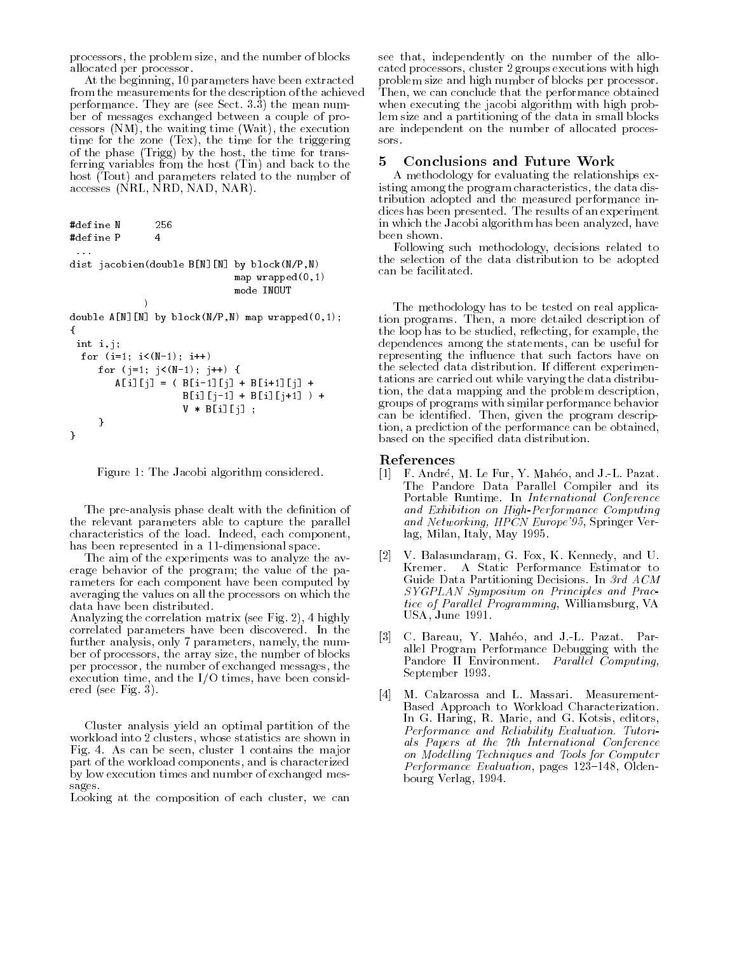processors, the problem size, and the number of blocks allocated per processor.

At the beginning, 10 parameters have been extracted from the measurements for the description of the achieved performance. They are (see Sect. 3.3) the mean num ber of messages exchanged between a couple of processors (NM), the waiting time (Wait), the execution time for the zone (Tex), the time for the triggering of the phase (Trigg) by the host, the time for transferring variables from the host (Tin) and back to the host (Tout) and parameters related to the number of accesses (NRL, NRD, NAD, NAR).

```
#define N 256
#define P
                            \overline{4}dist jacobien(double B[N][N] by block(N/P,N)
                                                       map wrapped(0,1)
                                                       mode INOUT
                        \rightarrow\blacksquare) and the contract of the contract of the contract of the contract of the contract of the contract of the contract of the contract of the contract of the contract of the contract of the contract of the contract of t
double A[N][N] by block(N/P,N) map wrapped(0,1);
{\bf r} , and the set of {\bf r}int i,j;
   for (i=1; i<(N-1); i++)for (j=1; j<(N-1); j++) {
               A[i][j] = (B[i-1][j] + B[i+1][j] +B[i][j-1] + B[i][j+1] ) +
                                     V * B[i][j];λ
          }
}
```


The pre-analysis phase dealt with the definition of the relevant parameters able to capture the parallel characteristics of the load. Indeed, each component, has been represented in a 11-dimensional space.

The aim of the experiments was to analyze the average behavior of the program; the value of the parameters for each component have been computed by averaging the values on all the processors on which the data have been distributed.

Analyzing the correlation matrix (see Fig. 2), 4 highly correlated parameters have been discovered. In the further analysis, only 7 parameters, namely, the num ber of processors, the array size, the number of blocks per processor, the number of exchanged messages, the execution time, and the I/O times, have been considered (see Fig. 3).

Cluster analysis yield an optimal partition of the workload into 2 clusters, whose statistics are shown in Fig. 4. As can be seen, cluster 1 contains the major part of the workload components, and is characterized by low execution times and number of exchanged mes- $\sim$  sages.

Looking at the composition of each cluster, we can

see that, independently on the number of the allocated processors, cluster 2 groups executions with high problem size and high number of blocks per processor. Then, we can conclude that the performance obtained when executing the jacobi algorithm with high problem size and a partitioning of the data in small blocks are independent on the number of allocated processors.

#### 5Conclusions and Future Work

A methodology for evaluating the relationships existing among the program characteristics, the data distribution adopted and the measured performance indices has been presented. The results of an experiment in which the Jacobi algorithm has been analyzed, have been shown.

Following such methodology, decisions related to the selection of the data distribution to be adopted can be facilitated.

The methodology has to be tested on real application programs. Then, a more detailed description of the loop has to be studied, reflecting, for example, the dependences among the statements, can be useful for representing the influence that such factors have on the selected data distribution. If different experimentations are carried out while varying the data distribution, the data mapping and the problem description, groups of programs with similar performance behavior can be identied. Then, given the program description, a prediction of the performance can be obtained, based on the specied data distribution.

### References

- [1] F. André, M. Le Fur, Y. Mahéo, and J.-L. Pazat. The Pandore Data Parallel Compiler and its Portable Runtime. In International Conference and Exhibition on High-Performance Computing and Networking, HPCN Europe'95, Springer Verlag, Milan, Italy, May 1995.
- [2] V. Balasundaram, G. Fox, K. Kennedy, and U. Kremer. A Static Performance Estimator to Guide Data Partitioning Decisions. In 3rd ACM SYGPLAN Symposium on Principles and Practice of Parallel Programming, Williamsburg, VA USA, June 1991.
- [3] C. Bareau, Y. Maheo, and J.-L. Pazat. Par allel Program Performance Debugging with the Pandore II Environment. Parallel Computing, September 1993.
- [4] M. Calzarossa and L. Massari. Measurement-Based Approach to Workload Characterization. In G. Haring, R. Marie, and G. Kotsis, editors, Performance and Reliability Evaluation. Tutorials Papers at the 7th International Conference on Modelling Techniques and Tools for Computer Performance Evaluation, pages 123-148, Oldenbourg Verlag, 1994.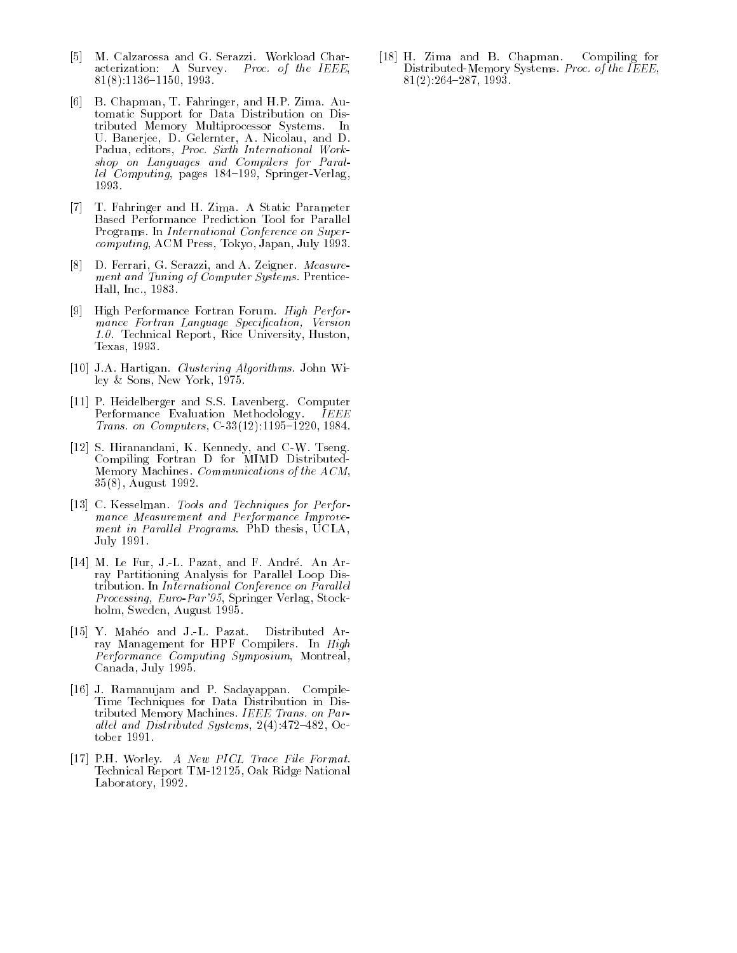- [5] M. Calzarossa and G. Serazzi. Workload Characterization: A Survey. Proc. of the IEEE,  $81(8):1136-1150, 1993.$
- [6] B. Chapman, T. Fahringer, and H.P. Zima. Automatic Support for Data Distribution on Distributed Memory Multiprocessor Systems. In U. Banerjee, D. Gelernter, A. Nicolau, and D. Padua, editors, Proc. Sixth International Workshop on Languages and Compilers for Parallel Computing, pages  $184-199$ , Springer-Verlag, 1993.
- [7] T. Fahringer and H. Zima. A Static Parameter Based Performance Prediction Tool for Parallel Programs. In International Conference on Supercomputing, ACM Press, Tokyo, Japan, July 1993.
- [8] D. Ferrari, G. Serazzi, and A. Zeigner. Measure ment and Tuning of Computer Systems. Prentice-Hall, Inc., 1983.
- [9] High Performance Fortran Forum. High Perfor mance Fortran Language Specification, Version 1.0. Technical Report, Rice University, Huston, Texas, 1993.
- [10] J.A. Hartigan. Clustering Algorithms. John Wiley & Sons, New York, 1975.
- [11] P. Heidelberger and S.S. Lavenberg. Computer Performance Evaluation Methodology. IEEE Trans. on Computers,  $C-33(12):1195-1220, 1984$ .
- [12] S. Hiranandani, K. Kennedy, and C-W. Tseng. Compiling Fortran D for MIMD Distributed-Memory Machines. Communications of the ACM, 35(8), August 1992.
- [13] C. Kesselman. Tools and Techniques for Performance Measurement and Performance Improve ment in Parallel Programs. PhD thesis, UCLA, July 1991.
- [14] M. Le Fur, J.-L. Pazat, and F. André. An Array Partitioning Analysis for Parallel Loop Distribution. In International Conference on Parallel Processing, Euro-Par'95, Springer Verlag, Stockholm, Sweden, August 1995.
- [15] Y. Maheo and J.-L. Pazat. Distributed Array Management for HPF Compilers. In High Performance Computing Symposium, Montreal, Canada, July 1995.
- [16] J. Ramanujam and P. Sadayappan. Compile-Time Techniques for Data Distribution in Distributed Memory Machines. IEEE Trans. on Parallel and Distributed Systems,  $2(4)$ : 472-482, October 1991.
- [17] P.H. Worley. A New PICL Trace File Format. Technical Report TM-12125, Oak Ridge National Laboratory, 1992.

[18] H. Zima and B. Chapman. Compiling for Distributed-Memory Systems. Proc. of the IEEE,  $81(2):264-287, 1993.$